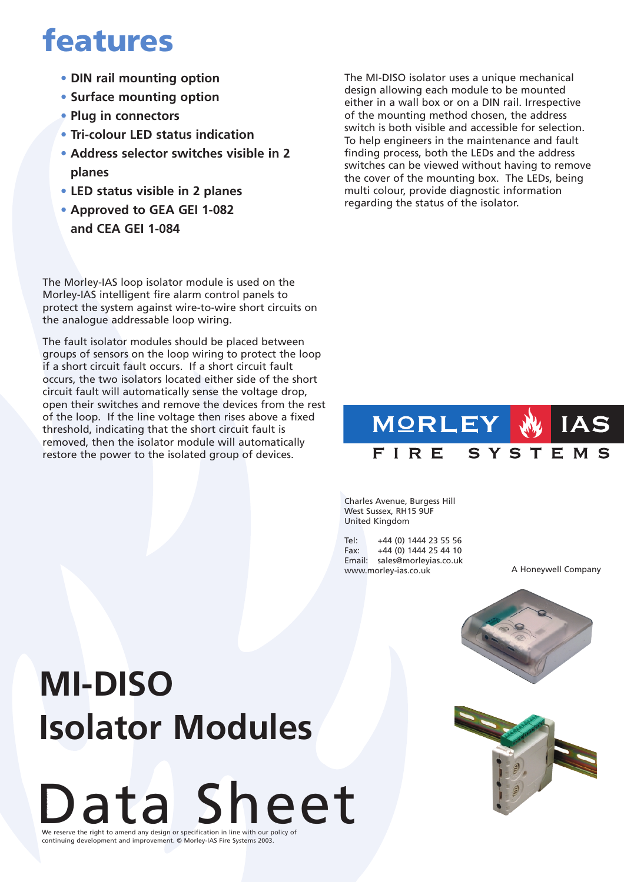### **features**

- **• DIN rail mounting option**
- **• Surface mounting option**
- **• Plug in connectors**
- **• Tri-colour LED status indication**
- **• Address selector switches visible in 2 planes**
- **• LED status visible in 2 planes**
- **• Approved to GEA GEI 1-082 and CEA GEI 1-084**

The Morley-IAS loop isolator module is used on the Morley-IAS intelligent fire alarm control panels to protect the system against wire-to-wire short circuits on the analogue addressable loop wiring.

The fault isolator modules should be placed between groups of sensors on the loop wiring to protect the loop if a short circuit fault occurs. If a short circuit fault occurs, the two isolators located either side of the short circuit fault will automatically sense the voltage drop, open their switches and remove the devices from the rest of the loop. If the line voltage then rises above a fixed threshold, indicating that the short circuit fault is removed, then the isolator module will automatically restore the power to the isolated group of devices.

The MI-DISO isolator uses a unique mechanical design allowing each module to be mounted either in a wall box or on a DIN rail. Irrespective of the mounting method chosen, the address switch is both visible and accessible for selection. To help engineers in the maintenance and fault finding process, both the LEDs and the address switches can be viewed without having to remove the cover of the mounting box. The LEDs, being multi colour, provide diagnostic information regarding the status of the isolator.

#### **MORLEY** IAS FIRE SYSTEMS

Charles Avenue, Burgess Hill West Sussex, RH15 9UF United Kingdom

Tel: +44 (0) 1444 23 55 56 Fax: +44 (0) 1444 25 44 10 Email: sales@morleyias.co.uk www.morley-ias.co.uk

A Honeywell Company



# **MI-DISO Isolator Modules**

Data Sheet We reserve the right to amend any design or specification in line with our policy of continuing development and improvement. © Morley-IAS Fire Systems 2003. |<br>|<br>|